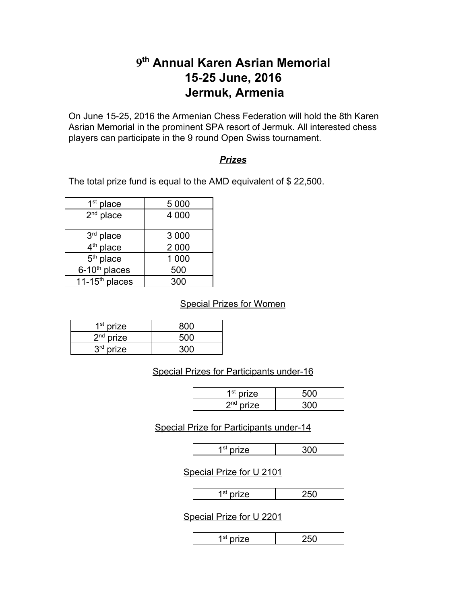# **9thAnnual Karen Asrian Memorial 1525 June, 2016 Jermuk, Armenia**

On June 1525, 2016 the Armenian Chess Federation will hold the 8th Karen Asrian Memorial in the prominent SPA resort of Jermuk. All interested chess players can participate in the 9 round Open Swiss tournament.

#### *Prizes*

The total prize fund is equal to the AMD equivalent of \$ 22,500.

| $1st$ place               | 5 0 0 0 |
|---------------------------|---------|
| $2nd$ place               | 4 0 0 0 |
|                           |         |
| $3rd$ place               | 3 0 0 0 |
| 4 <sup>th</sup> place     | 2 0 0 0 |
| 5 <sup>th</sup> place     | 1 000   |
| 6-10 <sup>th</sup> places | 500     |
| $11-15th$ places          | 300     |

Special Prizes for Women

| $1st$ prize |       |
|-------------|-------|
| $2nd$ prize | 500   |
| $3rd$ prize | ורזכי |

#### Special Prizes for Participants under-16

| 1 <sup>st</sup> nrize |  |
|-----------------------|--|
| 2 <sup>nd</sup> nrize |  |

#### Special Prize for Participants under-14

| י הי<br>. ه. | --- |
|--------------|-----|

Special Prize for U 2101

|--|--|

## Special Prize for U 2201

|--|--|--|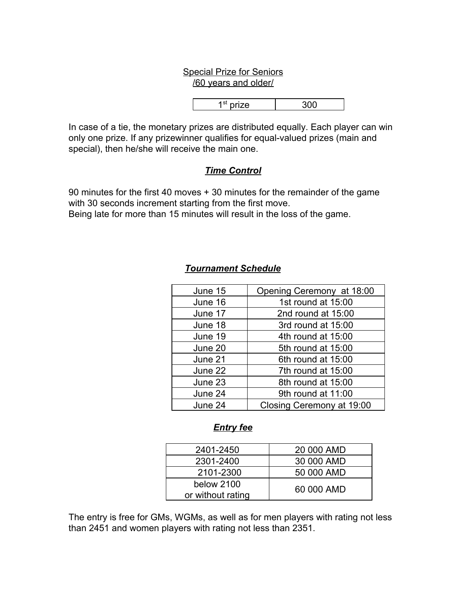#### Special Prize for Seniors /60 years and older/

1 st prize 300

In case of a tie, the monetary prizes are distributed equally. Each player can win only one prize. If any prizewinner qualifies for equal-valued prizes (main and special), then he/she will receive the main one.

# *Time Control*

90 minutes for the first 40 moves + 30 minutes for the remainder of the game with 30 seconds increment starting from the first move. Being late for more than 15 minutes will result in the loss of the game.

| June 15 | Opening Ceremony at 18:00 |
|---------|---------------------------|
| June 16 | 1st round at 15:00        |
| June 17 | 2nd round at 15:00        |
| June 18 | 3rd round at 15:00        |
| June 19 | 4th round at 15:00        |
| June 20 | 5th round at 15:00        |
| June 21 | 6th round at 15:00        |
| June 22 | 7th round at 15:00        |
| June 23 | 8th round at 15:00        |
| June 24 | 9th round at 11:00        |
| June 24 | Closing Ceremony at 19:00 |

# *Tournament Schedule*

# *Entry fee*

| 2401-2450         | 20 000 AMD |
|-------------------|------------|
| 2301-2400         | 30 000 AMD |
| 2101-2300         | 50 000 AMD |
| below 2100        | 60 000 AMD |
| or without rating |            |

The entry is free for GMs, WGMs, as well as for men players with rating not less than 2451 and women players with rating not less than 2351.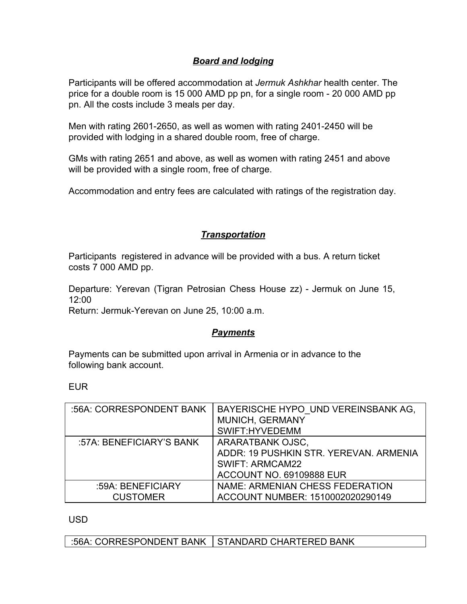## *Board and lodging*

Participants will be offered accommodation at *Jermuk Ashkhar* health center. The price for a double room is 15 000 AMD pp pn, for a single room - 20 000 AMD pp pn. All the costs include 3 meals per day.

Men with rating 2601-2650, as well as women with rating 2401-2450 will be provided with lodging in a shared double room, free of charge.

GMs with rating 2651 and above, as well as women with rating 2451 and above will be provided with a single room, free of charge.

Accommodation and entry fees are calculated with ratings of the registration day.

# *Transportation*

Participants registered in advance will be provided with a bus. A return ticket costs 7 000 AMD pp.

Departure: Yerevan (Tigran Petrosian Chess House zz) - Jermuk on June 15, 12:00

Return: Jermuk-Yerevan on June 25, 10:00 a.m.

## *Payments*

Payments can be submitted upon arrival in Armenia or in advance to the following bank account.

EUR

| :56A: CORRESPONDENT BANK | BAYERISCHE HYPO UND VEREINSBANK AG,<br>MUNICH, GERMANY |
|--------------------------|--------------------------------------------------------|
|                          | SWIFT:HYVEDEMM                                         |
| :57A: BENEFICIARY'S BANK | ARARATBANK OJSC,                                       |
|                          | ADDR: 19 PUSHKIN STR. YEREVAN. ARMENIA                 |
|                          | <b>SWIFT: ARMCAM22</b>                                 |
|                          | <b>ACCOUNT NO. 69109888 EUR</b>                        |
| :59A: BENEFICIARY        | NAME: ARMENIAN CHESS FEDERATION                        |
| <b>CUSTOMER</b>          | ACCOUNT NUMBER: 1510002020290149                       |

USD

:56A: CORRESPONDENT BANK | STANDARD CHARTERED BANK